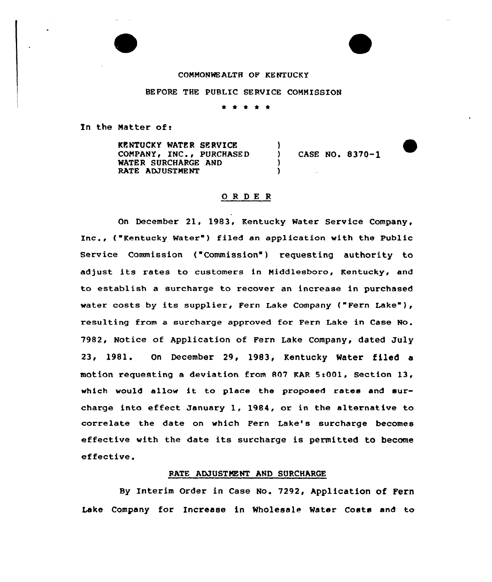#### COHNONMEALTH OF KENTUCKY

#### BEFORE THE PUBLIC SERVICE COMMISSION

\* \* \* <sup>4</sup> \*

In the Natter of:

KPNTUCKY WATFR SERVICE COMPANY, INC., PURCHASED WATER SURCHARGE AND RATE ADJUSTMENT  $\mathbf{I}$ CASE NO. 8370-1 ) )

#### OR DE R

On December 21, 1983, Kentucky Water Service Company, Inc., ("Kentucky Water" ) filed an application with the Public Service Commission ("Commission") requesting authority to adjust its rates to customers in Niddlesboro, Kentucky, and to establish a surcharge to recover an increase in purchased water costs by its supplier, Fern Lake Company ("Fern Lake"), resulting from a surcharge approved for Fern Lake in Case No. 7982, Notice of Application of Fern Lake Company, dated July 23, 1981. On December 29, 1983, Kentucky Water filed a motion requesting a deviation from 807 KAR 5:001, Section 13, which would allow it to place the proposed rates and surcharge into effect January 1, 1984, or in the alternative to correlate the date on which Fern Lake's surcharge becomes effective with the date its surcharge is permitted to become effective.

### RATE ADJUSTMENT AND SURCHARGE

By Interim Order in Case No. 7292, Application of Fern Lake Company for Increase in Wholesale Water Costs and to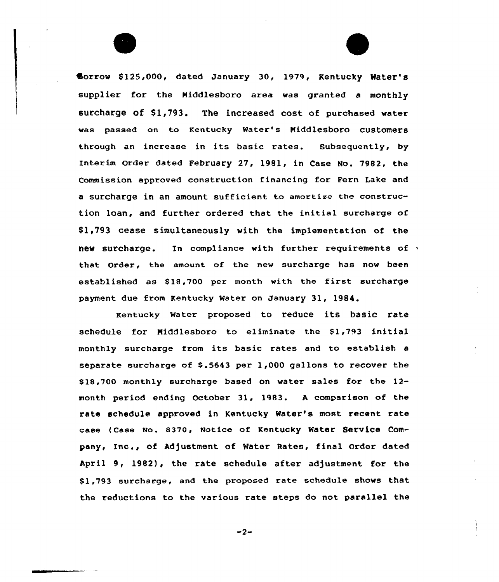Borrow \$125,000, dated January 30, 1979, Kentucky Water's supplier for the Niddlesboro area was granted a monthly surcharge of \$1,793. The increased cost of purchased water was passed on to Kentucky Water's Niddlesboro customers through an increase in its basic rates. Subsequently, by Interim Order dated February 27, 1981, in Case No. 7982, the Commission approved construction financing for Fern Lake and a surcharge in an amount sufficient to amortize the construction loan, and further ordered that the initial surcharge of Sl,793 cease simultaneously with the implementation of the new surcharge. In compliance with further requirements of  $\gamma$ that Order, the amount of the new surcharge has now been established as S18,700 per month with the first surcharge payment due from Kentucky Water on January 31, 1984.

Kentucky water proposed to reduce its basic rate schedule for Middlesboro to eliminate the \$1,793 initial monthly surcharge from its basic rates and to establish <sup>a</sup> separate surcharge of 8.5643 per 1,000 gallons to recover the \$ 18,700 monthly surcharge based on water sales for the 12 month period ending October 31, 1983. <sup>A</sup> comparison of the rate schedule approved in Kentucky Water's most recent rate case (case No. 8370, Notice of Kentucky water service company, Inc., of Adjustment of Water Rates, final Order dated April 9, 1982), the rate schedule after adjustment for the Sl,793 surcharge, and the proposed rate schedule shows that the reductions to the various rate steps do not parallel the

 $-2-$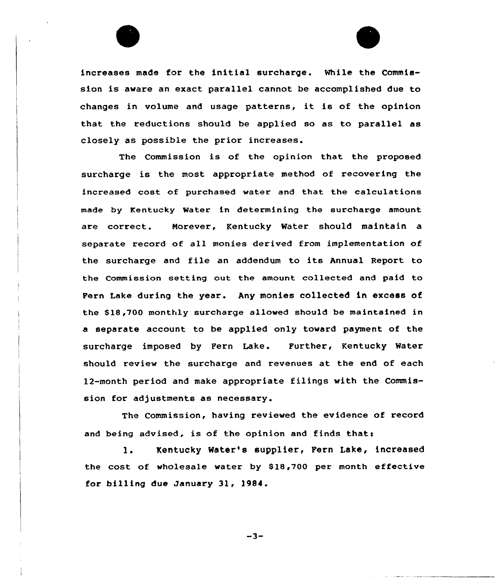

The Commission is of the opinion that the proposed surcharge is the most appropriate method of recovering the increased cost of purchased water and that the calculations made by Kentucky Water in determining the surcharge amount are correct. Morever, Kentucky Water should maintain a separate record of all monies derived from implementation of the surcharge and file an addendum to its Annual Report to the Commission setting out the amount collected and paid to Fern Lake during the year. Any monies collected in excess of the \$18,700 monthly surcharge allowed should be maintained in a separate account to be applied only toward payment of the surcharge imposed by Fern Lake. Further, Kentucky Water should review the surcharge and revenues at the end of each 12-month period and make appropriate filings with the Commission for adjustments as necessary.

The Commission, having reviewed the evidence of record and being advised, is of the opinion and finds that:

1. Kentucky Water's supplier, Fern Lake, increased the cost of wholesale water by \$18,700 per month effective for billing due January 3l, )984.

 $-3-$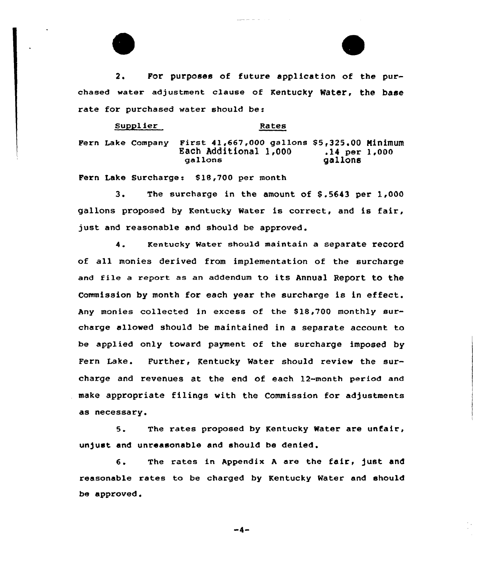2. For purposes of future application of the purchased water adjustment clause of Kentucky Water, the base rate for purchased water should be:

Supplier Rates Fern Lake Company First 41,667,000 gallons \$5,325.00 Minimum<br>Each Additional 1,000 .14 per 1,000 Each Additional 1,000 .14 per<br>gallons qallons dallons

Fern Lake Surcharge: \$18,700 per month

3. The surcharge in the amount of \$.5643 per 1,000 gallons proposed by Kentucky Water is correct, and is fair, just and xeasonable and should be approved.

4. Kentucky Water should maintain a separate record of all monies dexived from implementation of the surcharge and file <sup>a</sup> report as an addendum to its Annual Report to the Commission by month for each year the surcharge is in effect. Any monies collected in excess of the \$ 18,700 monthly surcharge allowed should be maintained in a separate account to be applied only toward payment of the surcharge imposed by Fern Lake. Further, Kentucky Water should review the sur-Charge and reVenueS at the end Of each 12-month period and make appropriate filings with the Commission for adjustments as necessary.

5. The rates proposed by Kentucky Water are unfair, unjust and unreasonable and should be denied.

6. The rates in Appendix A are the fair, just and reasonable rates to be charged by Kentucky Water and should be approved.

-4-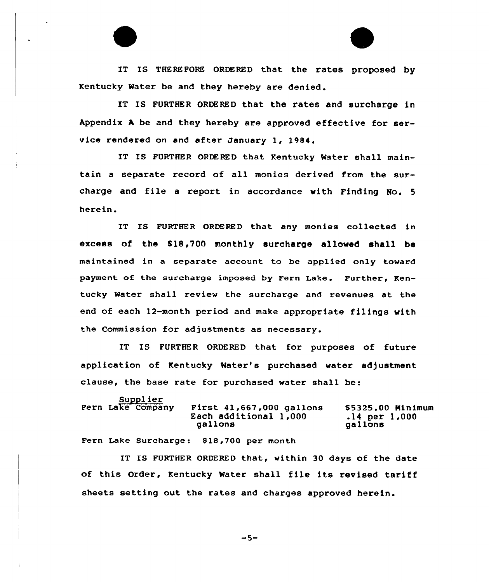IT IS THEREFORE ORDERED that the rates proposed by Kentucky Water be and they hereby are denied.

IT IS FURTHER ORDERED that the rates and surcharge in Appendix <sup>A</sup> be and they hereby are approved effective for service rendered on and after January 1, 1984,

IT IS FURTHER ORDERED that Kentucky Water shall maintain <sup>a</sup> separate record of all monies derived from the surcharge and file <sup>a</sup> report in accordance with Finding No. <sup>5</sup> herein.

IT IS FURTHER ORDERED that any monies collected in excess of the \$18,700 monthly surcharge allowed shall be maintained in a separate account to be applied only toward payment of the surcharge imposed by Fern Lake. Further, Kentucky Water shall review the surcharge and revenues at the end of each 12-month period and make appropriate filings with the Commission for adjustments as necessary.

IT IS FURTHER ORDERED that for purposes of future application of Kentucky Water's purchased water adjustment clause, the base rate for purchased water shall be:

| Supplier          | First $41,667,000$ gallons | \$5325.00 Minimum |
|-------------------|----------------------------|-------------------|
| Fern Lake Company | Each additional 1,000      | $.14$ per $1,000$ |
|                   | gallons                    | gallons           |

Fern Lake Surcharge: 918,700 per month

IT IS FURTHER ORDERED that, within 30 days of the date of this Order, Kentucky Water shall file its revised tariff sheets setting out the rates and charges approved herein.

 $-5-$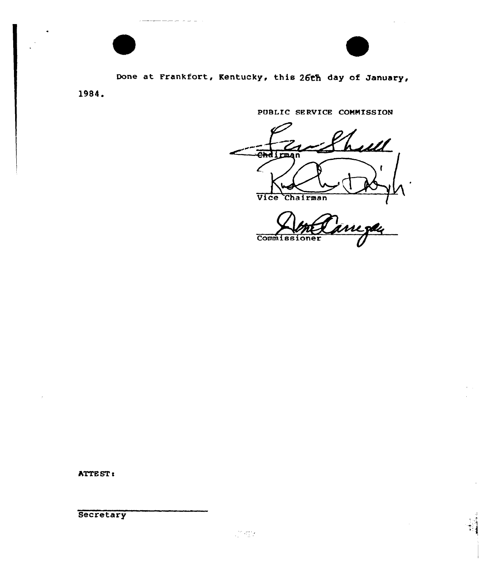

Done at Frankfort, Kentucky, this 26th day of January,

1984.

بالرامي بتربت بتنجيب

PUBLIC SERVICE COMMISSION

hall Chd I pm Z Vice Chairman l<br>L**zd**ų

**Commissioner** 

ATTE ST:

**Secretary**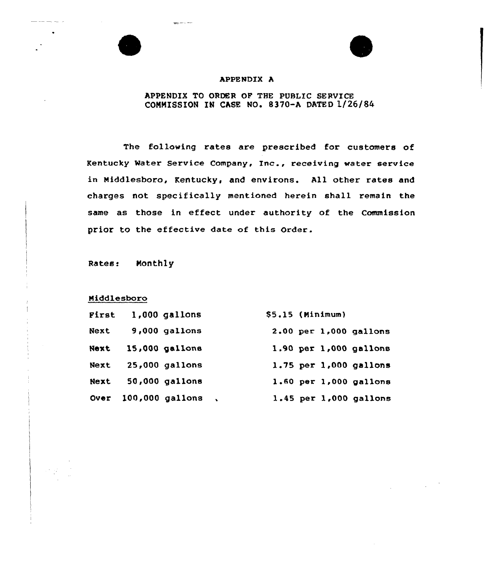#### APPENDIX A

للمرابط المساحي

## APPENDIX TO ORDER OF THE PUBLIC SERVICE COMMISSION IN CASE NO. 8370-A DATED 1/26/84

The following rates are prescribed for customers of Kentucky Mater Service Company, Inc., receiving water service in Niddlesboro, Kentucky, and environs. All other rates and charges not specifically mentioned herein shall remain the same as those in effect under authority of the Commission prior to the effective date of this Order.

Rates: Monthly

## Middlesboro

| First | $1,000$ gallons  | $$5.15$ (Minimum) |  |                            |
|-------|------------------|-------------------|--|----------------------------|
| Next  | $9,000$ gallons  |                   |  | 2.00 per 1,000 gallons     |
| Next  | 15,000 gallons   |                   |  | 1.90 per 1,000 gallons     |
| Next  | $25,000$ gallons |                   |  | 1.75 per 1,000 gallons     |
| Next  | 50,000 gallons   |                   |  | 1.60 per 1,000 gallons     |
| Over  | 100,000 gallons  |                   |  | $1.45$ per $1,000$ gallons |